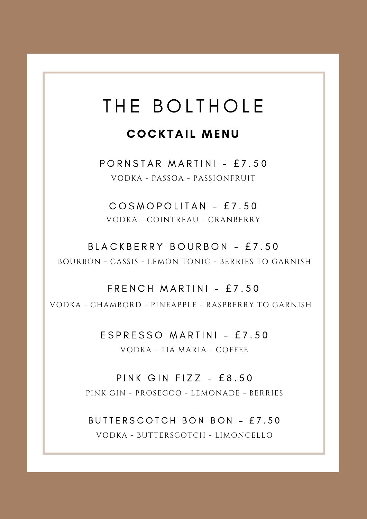# THE BOLTHOLE

## **COCKTAIL MENU**

PORNSTAR MARTINI - £7.50 VODKA - PASSOA - PASSIONFRUIT

COSMOPOLITAN - £7.50 VODKA - COINTREAU - CRANBERRY

BLACKBERRY BOURBON - £7.50 BOURBON - CASSIS - LEMON TONIC - BERRIES TO GARNISH

 $F$  R E N C H M A R T I N I - £ 7 .50 VODKA - CHAMBORD - PINEAPPLE - RASPBERRY TO GARNISH

> $ESPRESSO$  MARTINI - £7.50 VODKA - TIA MARIA - COFFEE

PINK GIN FIZZ -  $£8.50$ PINK GIN - PROSECCO - LEMONADE - BERRIES

BUTTERSCOTCH BON BON - £7.50 VODKA - BUTTERSCOTCH - LIMONCELLO